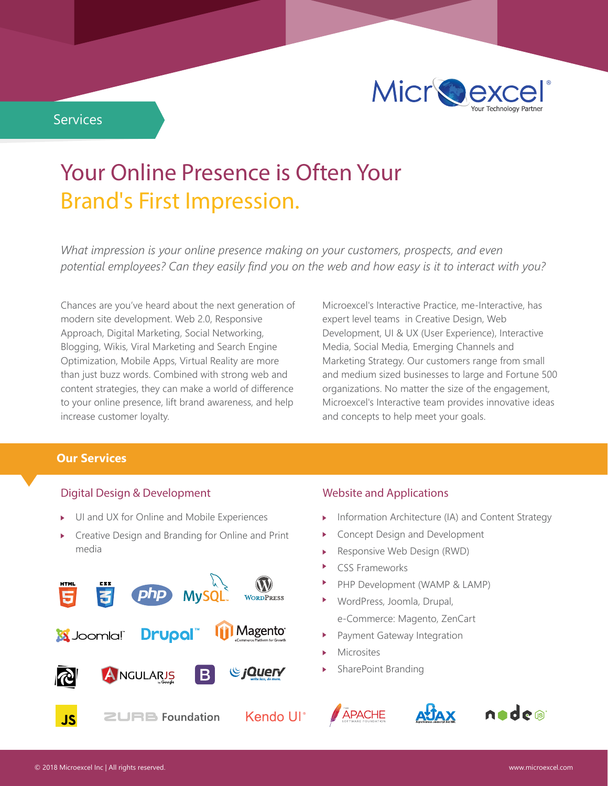

# **Your Online Presence is Often Your Brand's First Impression.**

*What impression is your online presence making on your customers, prospects, and even potential employees? Can they easily find you on the web and how easy is it to interact with you?*

Chances are you've heard about the next generation of modern site development. Web 2.0, Responsive Approach, Digital Marketing, Social Networking, Blogging, Wikis, Viral Marketing and Search Engine Optimization, Mobile Apps, Virtual Reality are more than just buzz words. Combined with strong web and content strategies, they can make a world of difference to your online presence, lift brand awareness, and help increase customer loyalty.

Microexcel's Interactive Practice, me-Interactive, has expert level teams in Creative Design, Web Development, UI & UX (User Experience), Interactive Media, Social Media, Emerging Channels and Marketing Strategy. Our customers range from small and medium sized businesses to large and Fortune 500 organizations. No matter the size of the engagement, Microexcel's Interactive team provides innovative ideas and concepts to help meet your goals.

### **Our Services**

#### **Digital Design & Development**

- UI and UX for Online and Mobile Experiences
- Creative Design and Branding for Online and Print media



## **Website and Applications**

- Information Architecture (IA) and Content Strategy
- Concept Design and Development
- Responsive Web Design (RWD)
- CSS Frameworks
- PHP Development (WAMP & LAMP)
- WordPress, Joomla, Drupal, e-Commerce: Magento, ZenCart
- Payment Gateway Integration
- Microsites
- SharePoint Branding